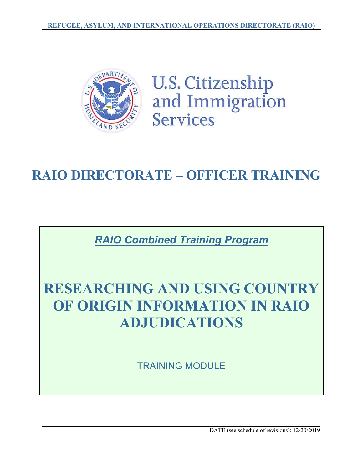

**U.S. Citizenship** and Immigration<br>Services

# **RAIO DIRECTORATE – OFFICER TRAINING**

*RAIO Combined Training Program*

**RESEARCHING AND USING COUNTRY OF ORIGIN INFORMATION IN RAIO ADJUDICATIONS**

TRAINING MODULE

DATE (see schedule of revisions): 12/20/2019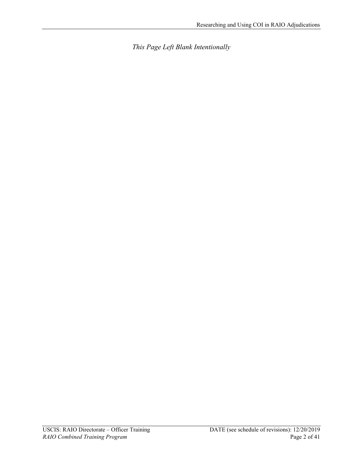*This Page Left Blank Intentionally*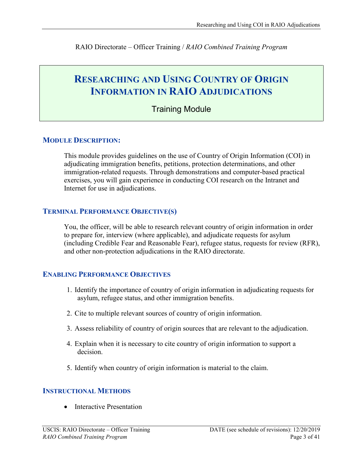RAIO Directorate – Officer Training / *RAIO Combined Training Program*

## **RESEARCHING AND USING COUNTRY OF ORIGIN INFORMATION IN RAIO ADJUDICATIONS**

## Training Module

#### **MODULE DESCRIPTION:**

This module provides guidelines on the use of Country of Origin Information (COI) in adjudicating immigration benefits, petitions, protection determinations, and other immigration-related requests. Through demonstrations and computer-based practical exercises, you will gain experience in conducting COI research on the Intranet and Internet for use in adjudications.

#### **TERMINAL PERFORMANCE OBJECTIVE(S)**

You, the officer, will be able to research relevant country of origin information in order to prepare for, interview (where applicable), and adjudicate requests for asylum (including Credible Fear and Reasonable Fear), refugee status, requests for review (RFR), and other non-protection adjudications in the RAIO directorate.

#### **ENABLING PERFORMANCE OBJECTIVES**

- 1. Identify the importance of country of origin information in adjudicating requests for asylum, refugee status, and other immigration benefits.
- 2. Cite to multiple relevant sources of country of origin information.
- 3. Assess reliability of country of origin sources that are relevant to the adjudication.
- 4. Explain when it is necessary to cite country of origin information to support a decision.
- 5. Identify when country of origin information is material to the claim. •

#### **INSTRUCTIONAL METHODS**

• Interactive Presentation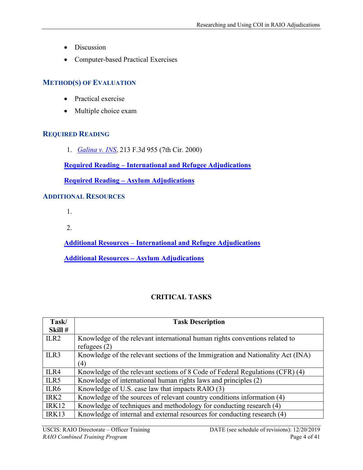- Discussion
- Computer-based Practical Exercises

## **METHOD(S) OF EVALUATION**

- Practical exercise
- Multiple choice exam

## **REQUIRED READING**

1. *[Galina v. INS](https://a.next.westlaw.com/Document/I06285210798411d98c82a53fc8ac8757/View/FullText.html?transitionType=UniqueDocItem&contextData=(sc.Default)&userEnteredCitation=213+F.3d+955)*, 213 F.3d 955 (7th Cir. 2000) •

**Required Reading – [International and Refugee Adjudications](#page-32-0)**

**Required Reading – [Asylum Adjudications](#page-36-0)**

## **ADDITIONAL RESOURCES**

1.

 $2.$ 

**Additional Resources – [International and Refugee Adjudications](#page-32-0)**

**Additional Resources – [Asylum Adjudications](#page-36-0)**

## **CRITICAL TASKS**

| Task/            | <b>Task Description</b>                                                         |
|------------------|---------------------------------------------------------------------------------|
| Skill #          |                                                                                 |
| ILR <sub>2</sub> | Knowledge of the relevant international human rights conventions related to     |
|                  | refugees $(2)$                                                                  |
| ILR <sub>3</sub> | Knowledge of the relevant sections of the Immigration and Nationality Act (INA) |
|                  | (4)                                                                             |
| ILR4             | Knowledge of the relevant sections of 8 Code of Federal Regulations (CFR) (4)   |
| ILR5             | Knowledge of international human rights laws and principles (2)                 |
| ILR6             | Knowledge of U.S. case law that impacts RAIO (3)                                |
| IRK <sub>2</sub> | Knowledge of the sources of relevant country conditions information (4)         |
| <b>IRK12</b>     | Knowledge of techniques and methodology for conducting research (4)             |
| IRK13            | Knowledge of internal and external resources for conducting research (4)        |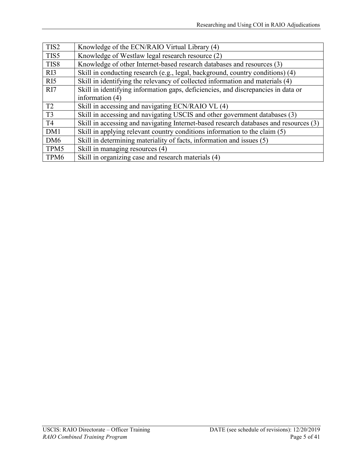| TIS2             | Knowledge of the ECN/RAIO Virtual Library (4)                                         |
|------------------|---------------------------------------------------------------------------------------|
| TIS5             | Knowledge of Westlaw legal research resource (2)                                      |
| TIS <sub>8</sub> | Knowledge of other Internet-based research databases and resources (3)                |
| R <sub>I</sub> 3 | Skill in conducting research (e.g., legal, background, country conditions) (4)        |
| RI5              | Skill in identifying the relevancy of collected information and materials (4)         |
| RI7              | Skill in identifying information gaps, deficiencies, and discrepancies in data or     |
|                  | information $(4)$                                                                     |
| T <sub>2</sub>   | Skill in accessing and navigating ECN/RAIO VL (4)                                     |
| T <sub>3</sub>   | Skill in accessing and navigating USCIS and other government databases (3)            |
| T <sub>4</sub>   | Skill in accessing and navigating Internet-based research databases and resources (3) |
| DM1              | Skill in applying relevant country conditions information to the claim (5)            |
| DM <sub>6</sub>  | Skill in determining materiality of facts, information and issues (5)                 |
| TPM5             | Skill in managing resources (4)                                                       |
| TPM <sub>6</sub> | Skill in organizing case and research materials (4)                                   |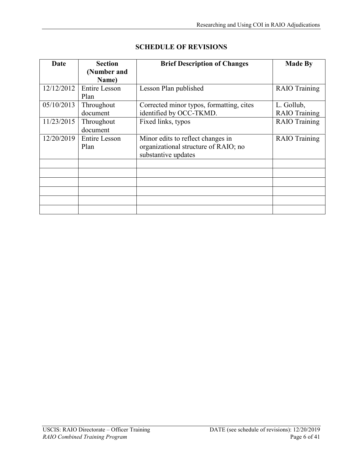| Date       | <b>Section</b><br>(Number and<br>Name) | <b>Brief Description of Changes</b>                                                              | <b>Made By</b>                     |
|------------|----------------------------------------|--------------------------------------------------------------------------------------------------|------------------------------------|
| 12/12/2012 | <b>Entire Lesson</b><br>Plan           | Lesson Plan published                                                                            | <b>RAIO</b> Training               |
| 05/10/2013 | Throughout<br>document                 | Corrected minor typos, formatting, cites<br>identified by OCC-TKMD.                              | L. Gollub,<br><b>RAIO</b> Training |
| 11/23/2015 | Throughout<br>document                 | Fixed links, typos                                                                               | <b>RAIO</b> Training               |
| 12/20/2019 | <b>Entire Lesson</b><br>Plan           | Minor edits to reflect changes in<br>organizational structure of RAIO; no<br>substantive updates | <b>RAIO</b> Training               |
|            |                                        |                                                                                                  |                                    |
|            |                                        |                                                                                                  |                                    |
|            |                                        |                                                                                                  |                                    |
|            |                                        |                                                                                                  |                                    |

## **SCHEDULE OF REVISIONS**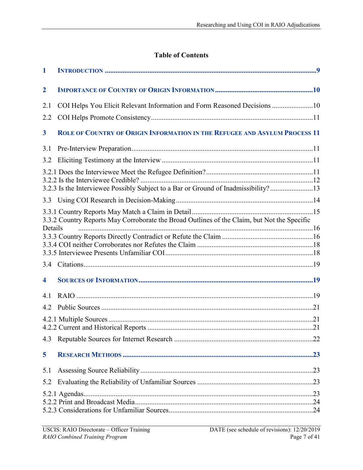## **Table of Contents**

| 1            |                                                                                             |
|--------------|---------------------------------------------------------------------------------------------|
| $\mathbf{2}$ |                                                                                             |
| 2.1          | COI Helps You Elicit Relevant Information and Form Reasoned Decisions 10                    |
| 2.2          |                                                                                             |
| 3            | ROLE OF COUNTRY OF ORIGIN INFORMATION IN THE REFUGEE AND ASYLUM PROCESS 11                  |
| 3.1          |                                                                                             |
| 3.2          |                                                                                             |
|              |                                                                                             |
|              | 3.2.3 Is the Interviewee Possibly Subject to a Bar or Ground of Inadmissibility?13          |
|              |                                                                                             |
| Details      | 3.3.2 Country Reports May Corroborate the Broad Outlines of the Claim, but Not the Specific |
|              |                                                                                             |
|              |                                                                                             |
|              |                                                                                             |
|              |                                                                                             |
| 4            |                                                                                             |
| 4.1          |                                                                                             |
| 4.2          |                                                                                             |
|              |                                                                                             |
| 4.3          |                                                                                             |
| 5            |                                                                                             |
| 5.1          |                                                                                             |
| 5.2          |                                                                                             |
|              |                                                                                             |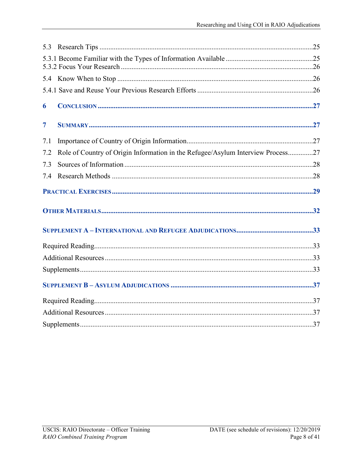| 6              |                                                                                 |
|----------------|---------------------------------------------------------------------------------|
| $\overline{7}$ |                                                                                 |
| 7.1            |                                                                                 |
| 7.2            | Role of Country of Origin Information in the Refugee/Asylum Interview Process27 |
| 7.3            |                                                                                 |
| 7.4            |                                                                                 |
|                |                                                                                 |
|                |                                                                                 |
|                |                                                                                 |
|                |                                                                                 |
|                |                                                                                 |
|                |                                                                                 |
|                |                                                                                 |
|                |                                                                                 |
|                |                                                                                 |
|                |                                                                                 |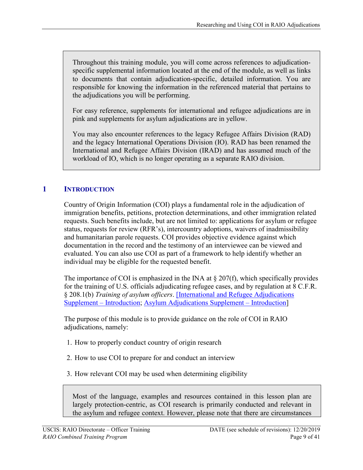Throughout this training module, you will come across references to adjudicationspecific supplemental information located at the end of the module, as well as links to documents that contain adjudication-specific, detailed information. You are responsible for knowing the information in the referenced material that pertains to the adjudications you will be performing.

For easy reference, supplements for international and refugee adjudications are in pink and supplements for asylum adjudications are in yellow.

You may also encounter references to the legacy Refugee Affairs Division (RAD) and the legacy International Operations Division (IO). RAD has been renamed the International and Refugee Affairs Division (IRAD) and has assumed much of the workload of IO, which is no longer operating as a separate RAIO division.

## <span id="page-8-0"></span>**1 INTRODUCTION**

Country of Origin Information (COI) plays a fundamental role in the adjudication of immigration benefits, petitions, protection determinations, and other immigration related requests. Such benefits include, but are not limited to: applications for asylum or refugee status, requests for review (RFR's), intercountry adoptions, waivers of inadmissibility and humanitarian parole requests. COI provides objective evidence against which documentation in the record and the testimony of an interviewee can be viewed and evaluated. You can also use COI as part of a framework to help identify whether an individual may be eligible for the requested benefit.

The importance of COI is emphasized in the INA at  $\S 207(f)$ , which specifically provides for the training of U.S. officials adjudicating refugee cases, and by regulation at 8 C.F.R. § 208.1(b) *Training of asylum officers*. [International and [Refugee Adjudications](#page-32-4) [Supplement –](#page-32-4) Introduction; [Asylum Adjudications](#page-36-4) Supplement – Introduction]

The purpose of this module is to provide guidance on the role of COI in RAIO adjudications, namely:

- 1. How to properly conduct country of origin research
- 2. How to use COI to prepare for and conduct an interview
- 3. How relevant COI may be used when determining eligibility •

Most of the language, examples and resources contained in this lesson plan are largely protection-centric, as COI research is primarily conducted and relevant in the asylum and refugee context. However, please note that there are circumstances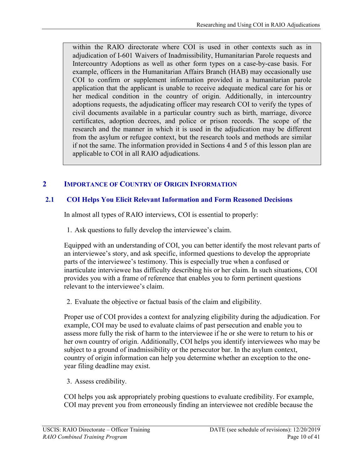within the RAIO directorate where COI is used in other contexts such as in adjudication of I-601 Waivers of Inadmissibility, Humanitarian Parole requests and Intercountry Adoptions as well as other form types on a case-by-case basis. For example, officers in the Humanitarian Affairs Branch (HAB) may occasionally use COI to confirm or supplement information provided in a humanitarian parole application that the applicant is unable to receive adequate medical care for his or her medical condition in the country of origin. Additionally, in intercountry adoptions requests, the adjudicating officer may research COI to verify the types of civil documents available in a particular country such as birth, marriage, divorce certificates, adoption decrees, and police or prison records. The scope of the research and the manner in which it is used in the adjudication may be different from the asylum or refugee context, but the research tools and methods are similar if not the same. The information provided in Sections 4 and 5 of this lesson plan are applicable to COI in all RAIO adjudications.

## <span id="page-9-0"></span>**2 IMPORTANCE OF COUNTRY OF ORIGIN INFORMATION**

#### <span id="page-9-1"></span>**2.1 COI Helps You Elicit Relevant Information and Form Reasoned Decisions**

In almost all types of RAIO interviews, COI is essential to properly:

1. Ask questions to fully develop the interviewee's claim.

Equipped with an understanding of COI, you can better identify the most relevant parts of an interviewee's story, and ask specific, informed questions to develop the appropriate parts of the interviewee's testimony. This is especially true when a confused or inarticulate interviewee has difficulty describing his or her claim. In such situations, COI provides you with a frame of reference that enables you to form pertinent questions relevant to the interviewee's claim.

2. Evaluate the objective or factual basis of the claim and eligibility.

Proper use of COI provides a context for analyzing eligibility during the adjudication. For example, COI may be used to evaluate claims of past persecution and enable you to assess more fully the risk of harm to the interviewee if he or she were to return to his or her own country of origin. Additionally, COI helps you identify interviewees who may be subject to a ground of inadmissibility or the persecutor bar. In the asylum context, country of origin information can help you determine whether an exception to the oneyear filing deadline may exist.

3. Assess credibility.

COI helps you ask appropriately probing questions to evaluate credibility. For example, COI may prevent you from erroneously finding an interviewee not credible because the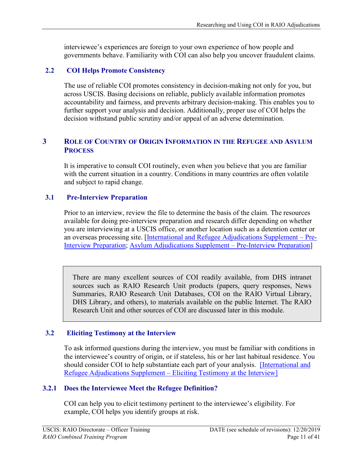interviewee's experiences are foreign to your own experience of how people and governments behave. Familiarity with COI can also help you uncover fraudulent claims.

## <span id="page-10-0"></span>**2.2 COI Helps Promote Consistency**

The use of reliable COI promotes consistency in decision-making not only for you, but across USCIS. Basing decisions on reliable, publicly available information promotes accountability and fairness, and prevents arbitrary decision-making. This enables you to further support your analysis and decision. Additionally, proper use of COI helps the decision withstand public scrutiny and/or appeal of an adverse determination.

#### <span id="page-10-1"></span>**3 ROLE OF COUNTRY OF ORIGIN INFORMATION IN THE REFUGEE AND ASYLUM PROCESS**

It is imperative to consult COI routinely, even when you believe that you are familiar with the current situation in a country. Conditions in many countries are often volatile and subject to rapid change.

## <span id="page-10-2"></span>**3.1 Pre-Interview Preparation**

Prior to an interview, review the file to determine the basis of the claim. The resources available for doing pre-interview preparation and research differ depending on whether you are interviewing at a USCIS office, or another location such as a detention center or an overseas processing site. [\[International and Refugee Adjudications](#page-32-5) Supplement – Pre-[Interview Preparation;](#page-32-5) Asylum Adjudications Supplement – [Pre-Interview Preparation\]](#page-36-5)

There are many excellent sources of COI readily available, from DHS intranet sources such as RAIO Research Unit products (papers, query responses, News Summaries, RAIO Research Unit Databases, COI on the RAIO Virtual Library, DHS Library, and others), to materials available on the public Internet. The RAIO Research Unit and other sources of COI are discussed later in this module.

## <span id="page-10-3"></span>**3.2 Eliciting Testimony at the Interview**

To ask informed questions during the interview, you must be familiar with conditions in the interviewee's country of origin, or if stateless, his or her last habitual residence. You should consider COI to help substantiate each part of your analysis. [\[International and](#page-33-0)  [Refugee Adjudications](#page-33-0) Supplement – Eliciting [Testimony at the Interview\]](#page-33-0)

## <span id="page-10-4"></span>**3.2.1 Does the Interviewee Meet the Refugee Definition?**

COI can help you to elicit testimony pertinent to the interviewee's eligibility. For example, COI helps you identify groups at risk.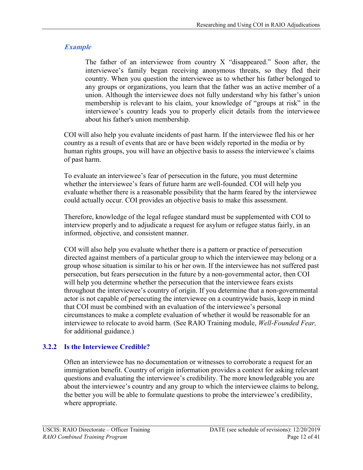## **Example**

The father of an interviewee from country  $X$  "disappeared." Soon after, the interviewee's family began receiving anonymous threats, so they fled their country. When you question the interviewee as to whether his father belonged to any groups or organizations, you learn that the father was an active member of a union. Although the interviewee does not fully understand why his father's union membership is relevant to his claim, your knowledge of "groups at risk" in the interviewee's country leads you to properly elicit details from the interviewee about his father's union membership.

COI will also help you evaluate incidents of past harm. If the interviewee fled his or her country as a result of events that are or have been widely reported in the media or by human rights groups, you will have an objective basis to assess the interviewee's claims of past harm.

To evaluate an interviewee's fear of persecution in the future, you must determine whether the interviewee's fears of future harm are well-founded. COI will help you evaluate whether there is a reasonable possibility that the harm feared by the interviewee could actually occur. COI provides an objective basis to make this assessment.

Therefore, knowledge of the legal refugee standard must be supplemented with COI to interview properly and to adjudicate a request for asylum or refugee status fairly, in an informed, objective, and consistent manner.

COI will also help you evaluate whether there is a pattern or practice of persecution directed against members of a particular group to which the interviewee may belong or a group whose situation is similar to his or her own. If the interviewee has not suffered past persecution, but fears persecution in the future by a non-governmental actor, then COI will help you determine whether the persecution that the interviewee fears exists throughout the interviewee's country of origin. If you determine that a non-governmental actor is not capable of persecuting the interviewee on a countrywide basis, keep in mind that COI must be combined with an evaluation of the interviewee's personal circumstances to make a complete evaluation of whether it would be reasonable for an interviewee to relocate to avoid harm. (See RAIO Training module, *Well-Founded Fear,*  for additional guidance.)

## <span id="page-11-0"></span>**3.2.2 Is the Interviewee Credible?**

Often an interviewee has no documentation or witnesses to corroborate a request for an immigration benefit. Country of origin information provides a context for asking relevant questions and evaluating the interviewee's credibility. The more knowledgeable you are about the interviewee's country and any group to which the interviewee claims to belong, the better you will be able to formulate questions to probe the interviewee's credibility, where appropriate.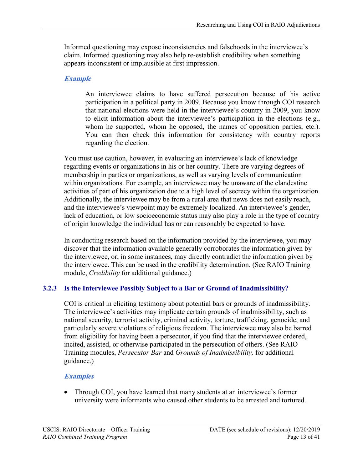Informed questioning may expose inconsistencies and falsehoods in the interviewee's claim. Informed questioning may also help re-establish credibility when something appears inconsistent or implausible at first impression.

## **Example**

An interviewee claims to have suffered persecution because of his active participation in a political party in 2009. Because you know through COI research that national elections were held in the interviewee's country in 2009, you know to elicit information about the interviewee's participation in the elections (e.g., whom he supported, whom he opposed, the names of opposition parties, etc.). You can then check this information for consistency with country reports regarding the election.

You must use caution, however, in evaluating an interviewee's lack of knowledge regarding events or organizations in his or her country. There are varying degrees of membership in parties or organizations, as well as varying levels of communication within organizations. For example, an interviewee may be unaware of the clandestine activities of part of his organization due to a high level of secrecy within the organization. Additionally, the interviewee may be from a rural area that news does not easily reach, and the interviewee's viewpoint may be extremely localized. An interviewee's gender, lack of education, or low socioeconomic status may also play a role in the type of country of origin knowledge the individual has or can reasonably be expected to have.

In conducting research based on the information provided by the interviewee, you may discover that the information available generally corroborates the information given by the interviewee, or, in some instances, may directly contradict the information given by the interviewee. This can be used in the credibility determination. (See RAIO Training module, *Credibility* for additional guidance.)

## <span id="page-12-0"></span>**3.2.3 Is the Interviewee Possibly Subject to a Bar or Ground of Inadmissibility?**

COI is critical in eliciting testimony about potential bars or grounds of inadmissibility. The interviewee's activities may implicate certain grounds of inadmissibility, such as national security, terrorist activity, criminal activity, torture, trafficking, genocide, and particularly severe violations of religious freedom. The interviewee may also be barred from eligibility for having been a persecutor, if you find that the interviewee ordered, incited, assisted, or otherwise participated in the persecution of others. (See RAIO Training modules, *Persecutor Bar* and *Grounds of Inadmissibility,* for additional guidance.)

## **Examples**

• Through COI, you have learned that many students at an interviewee's former university were informants who caused other students to be arrested and tortured.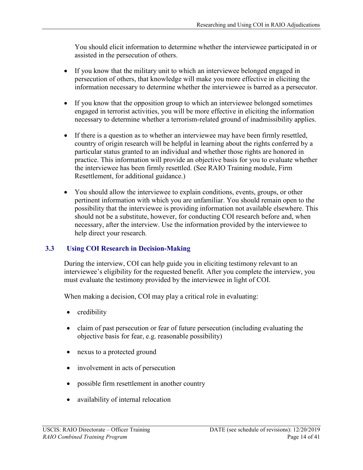You should elicit information to determine whether the interviewee participated in or assisted in the persecution of others.

- If you know that the military unit to which an interviewee belonged engaged in persecution of others, that knowledge will make you more effective in eliciting the information necessary to determine whether the interviewee is barred as a persecutor.
- If you know that the opposition group to which an interviewee belonged sometimes engaged in terrorist activities, you will be more effective in eliciting the information necessary to determine whether a terrorism-related ground of inadmissibility applies.
- If there is a question as to whether an interviewee may have been firmly resettled, country of origin research will be helpful in learning about the rights conferred by a particular status granted to an individual and whether those rights are honored in practice. This information will provide an objective basis for you to evaluate whether the interviewee has been firmly resettled. (See RAIO Training module, Firm Resettlement, for additional guidance.)
- You should allow the interviewee to explain conditions, events, groups, or other pertinent information with which you are unfamiliar. You should remain open to the possibility that the interviewee is providing information not available elsewhere. This should not be a substitute, however, for conducting COI research before and, when necessary, after the interview. Use the information provided by the interviewee to help direct your research.

## <span id="page-13-0"></span>**3.3 Using COI Research in Decision-Making**

During the interview, COI can help guide you in eliciting testimony relevant to an interviewee's eligibility for the requested benefit. After you complete the interview, you must evaluate the testimony provided by the interviewee in light of COI.

When making a decision, COI may play a critical role in evaluating:

- credibility
- claim of past persecution or fear of future persecution (including evaluating the objective basis for fear, e.g. reasonable possibility)
- nexus to a protected ground
- involvement in acts of persecution
- possible firm resettlement in another country
- availability of internal relocation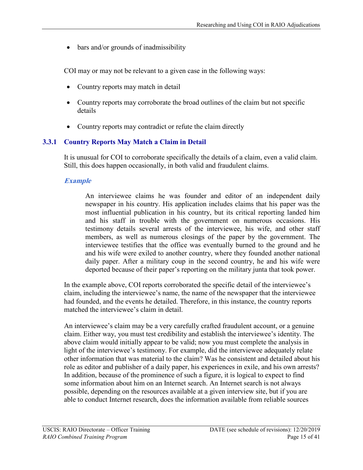• bars and/or grounds of inadmissibility

COI may or may not be relevant to a given case in the following ways:

- Country reports may match in detail
- Country reports may corroborate the broad outlines of the claim but not specific details
- Country reports may contradict or refute the claim directly

## <span id="page-14-0"></span>**3.3.1 Country Reports May Match a Claim in Detail**

It is unusual for COI to corroborate specifically the details of a claim, even a valid claim. Still, this does happen occasionally, in both valid and fraudulent claims.

#### **Example**

An interviewee claims he was founder and editor of an independent daily newspaper in his country. His application includes claims that his paper was the most influential publication in his country, but its critical reporting landed him and his staff in trouble with the government on numerous occasions. His testimony details several arrests of the interviewee, his wife, and other staff members, as well as numerous closings of the paper by the government. The interviewee testifies that the office was eventually burned to the ground and he and his wife were exiled to another country, where they founded another national daily paper. After a military coup in the second country, he and his wife were deported because of their paper's reporting on the military junta that took power.

In the example above, COI reports corroborated the specific detail of the interviewee's claim, including the interviewee's name, the name of the newspaper that the interviewee had founded, and the events he detailed. Therefore, in this instance, the country reports matched the interviewee's claim in detail.

An interviewee's claim may be a very carefully crafted fraudulent account, or a genuine claim. Either way, you must test credibility and establish the interviewee's identity. The above claim would initially appear to be valid; now you must complete the analysis in light of the interviewee's testimony. For example, did the interviewee adequately relate other information that was material to the claim? Was he consistent and detailed about his role as editor and publisher of a daily paper, his experiences in exile, and his own arrests? In addition, because of the prominence of such a figure, it is logical to expect to find some information about him on an Internet search. An Internet search is not always possible, depending on the resources available at a given interview site, but if you are able to conduct Internet research, does the information available from reliable sources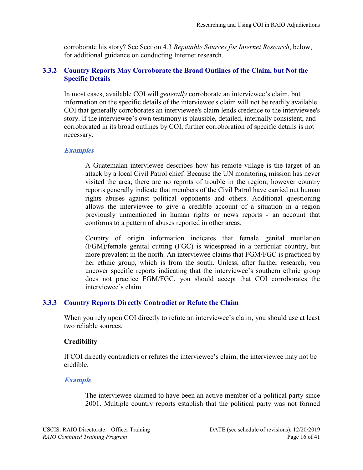corroborate his story? See Section 4.3 *Reputable Sources for Internet Research*, below, for additional guidance on conducting Internet research.

#### <span id="page-15-0"></span>**3.3.2 Country Reports May Corroborate the Broad Outlines of the Claim, but Not the Specific Details**

In most cases, available COI will *generally* corroborate an interviewee's claim, but information on the specific details of the interviewee's claim will not be readily available. COI that generally corroborates an interviewee's claim lends credence to the interviewee's story. If the interviewee's own testimony is plausible, detailed, internally consistent, and corroborated in its broad outlines by COI, further corroboration of specific details is not necessary.

#### **Examples**

A Guatemalan interviewee describes how his remote village is the target of an attack by a local Civil Patrol chief. Because the UN monitoring mission has never visited the area, there are no reports of trouble in the region; however country reports generally indicate that members of the Civil Patrol have carried out human rights abuses against political opponents and others. Additional questioning allows the interviewee to give a credible account of a situation in a region previously unmentioned in human rights or news reports - an account that conforms to a pattern of abuses reported in other areas.

Country of origin information indicates that female genital mutilation (FGM)/female genital cutting (FGC) is widespread in a particular country, but more prevalent in the north. An interviewee claims that FGM/FGC is practiced by her ethnic group, which is from the south. Unless, after further research, you uncover specific reports indicating that the interviewee's southern ethnic group does not practice FGM/FGC, you should accept that COI corroborates the interviewee's claim.

## <span id="page-15-1"></span>**3.3.3 Country Reports Directly Contradict or Refute the Claim**

When you rely upon COI directly to refute an interviewee's claim, you should use at least two reliable sources.

## **Credibility**

If COI directly contradicts or refutes the interviewee's claim, the interviewee may not be credible.

## **Example**

The interviewee claimed to have been an active member of a political party since 2001. Multiple country reports establish that the political party was not formed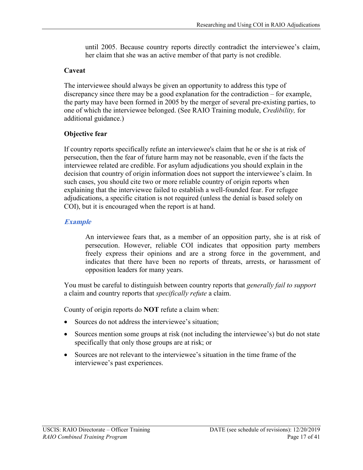until 2005. Because country reports directly contradict the interviewee's claim, her claim that she was an active member of that party is not credible.

#### **Caveat**

The interviewee should always be given an opportunity to address this type of discrepancy since there may be a good explanation for the contradiction – for example, the party may have been formed in 2005 by the merger of several pre-existing parties, to one of which the interviewee belonged. (See RAIO Training module, *Credibility,* for additional guidance.)

## **Objective fear**

If country reports specifically refute an interviewee's claim that he or she is at risk of persecution, then the fear of future harm may not be reasonable, even if the facts the interviewee related are credible. For asylum adjudications you should explain in the decision that country of origin information does not support the interviewee's claim. In such cases, you should cite two or more reliable country of origin reports when explaining that the interviewee failed to establish a well-founded fear. For refugee adjudications, a specific citation is not required (unless the denial is based solely on COI), but it is encouraged when the report is at hand.

## **Example**

An interviewee fears that, as a member of an opposition party, she is at risk of persecution. However, reliable COI indicates that opposition party members freely express their opinions and are a strong force in the government, and indicates that there have been no reports of threats, arrests, or harassment of opposition leaders for many years.

You must be careful to distinguish between country reports that *generally fail to support*  a claim and country reports that *specifically refute* a claim.

County of origin reports do **NOT** refute a claim when:

- Sources do not address the interviewee's situation;
- Sources mention some groups at risk (not including the interviewee's) but do not state specifically that only those groups are at risk; or
- Sources are not relevant to the interviewee's situation in the time frame of the interviewee's past experiences.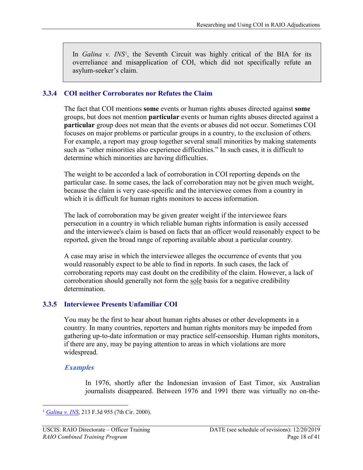In *Galina v. INS*<sup>[1](#page-17-2)</sup>, the Seventh Circuit was highly critical of the BIA for its overreliance and misapplication of COI, which did not specifically refute an asylum-seeker's claim.

#### <span id="page-17-0"></span>**3.3.4 COI neither Corroborates nor Refutes the Claim**

The fact that COI mentions **some** events or human rights abuses directed against **some** groups, but does not mention **particular** events or human rights abuses directed against a **particular** group does not mean that the events or abuses did not occur. Sometimes COI focuses on major problems or particular groups in a country, to the exclusion of others. For example, a report may group together several small minorities by making statements such as "other minorities also experience difficulties." In such cases, it is difficult to determine which minorities are having difficulties.

The weight to be accorded a lack of corroboration in COI reporting depends on the particular case. In some cases, the lack of corroboration may not be given much weight, because the claim is very case-specific and the interviewee comes from a country in which it is difficult for human rights monitors to access information.

The lack of corroboration may be given greater weight if the interviewee fears persecution in a country in which reliable human rights information is easily accessed and the interviewee's claim is based on facts that an officer would reasonably expect to be reported, given the broad range of reporting available about a particular country.

A case may arise in which the interviewee alleges the occurrence of events that you would reasonably expect to be able to find in reports. In such cases, the lack of corroborating reports may cast doubt on the credibility of the claim. However, a lack of corroboration should generally not form the sole basis for a negative credibility determination.

#### <span id="page-17-1"></span>**3.3.5 Interviewee Presents Unfamiliar COI**

You may be the first to hear about human rights abuses or other developments in a country. In many countries, reporters and human rights monitors may be impeded from gathering up-to-date information or may practice self-censorship. Human rights monitors, if there are any, may be paying attention to areas in which violations are more widespread.

#### **Examples**

In 1976, shortly after the Indonesian invasion of East Timor, six Australian journalists disappeared. Between 1976 and 1991 there was virtually no on-the-

<span id="page-17-2"></span> <sup>1</sup> *[Galina v. INS](https://a.next.westlaw.com/Document/I06285210798411d98c82a53fc8ac8757/View/FullText.html?transitionType=UniqueDocItem&contextData=(sc.Default)&userEnteredCitation=213+F.3d+955)*, 213 F.3d 955 (7th Cir. 2000).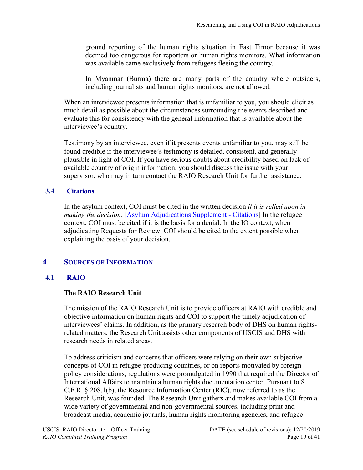ground reporting of the human rights situation in East Timor because it was deemed too dangerous for reporters or human rights monitors. What information was available came exclusively from refugees fleeing the country.

In Myanmar (Burma) there are many parts of the country where outsiders, including journalists and human rights monitors, are not allowed.

When an interviewee presents information that is unfamiliar to you, you should elicit as much detail as possible about the circumstances surrounding the events described and evaluate this for consistency with the general information that is available about the interviewee's country.

Testimony by an interviewee, even if it presents events unfamiliar to you, may still be found credible if the interviewee's testimony is detailed, consistent, and generally plausible in light of COI. If you have serious doubts about credibility based on lack of available country of origin information, you should discuss the issue with your supervisor, who may in turn contact the RAIO Research Unit for further assistance.

## <span id="page-18-0"></span>**3.4 Citations**

In the asylum context, COI must be cited in the written decision *if it is relied upon in making the decision.* [\[Asylum Adjudications](#page-37-0) Supplement - Citations] In the refugee context, COI must be cited if it is the basis for a denial. In the IO context, when adjudicating Requests for Review, COI should be cited to the extent possible when explaining the basis of your decision.

## <span id="page-18-1"></span>**4 SOURCES OF INFORMATION**

## <span id="page-18-2"></span>**4.1 RAIO**

## **The RAIO Research Unit**

The mission of the RAIO Research Unit is to provide officers at RAIO with credible and objective information on human rights and COI to support the timely adjudication of interviewees' claims. In addition, as the primary research body of DHS on human rightsrelated matters, the Research Unit assists other components of USCIS and DHS with research needs in related areas.

To address criticism and concerns that officers were relying on their own subjective concepts of COI in refugee-producing countries, or on reports motivated by foreign policy considerations, regulations were promulgated in 1990 that required the Director of International Affairs to maintain a human rights documentation center. Pursuant to 8 C.F.R. § 208.1(b), the Resource Information Center (RIC), now referred to as the Research Unit, was founded. The Research Unit gathers and makes available COI from a wide variety of governmental and non-governmental sources, including print and broadcast media, academic journals, human rights monitoring agencies, and refugee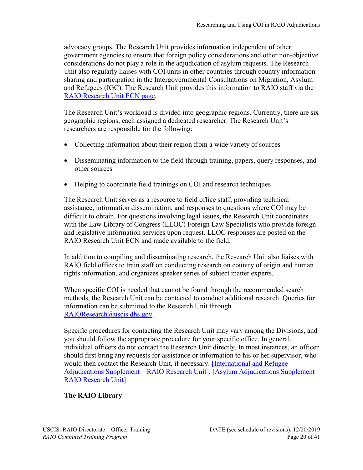advocacy groups. The Research Unit provides information independent of other government agencies to ensure that foreign policy considerations and other non-objective considerations do not play a role in the adjudication of asylum requests. The Research Unit also regularly liaises with COI units in other countries through country information sharing and participation in the Intergovernmental Consultations on Migration, Asylum and Refugees (IGC). The Research Unit provides this information to RAIO staff via the [RAIO Research Unit ECN page.](https://ecn.uscis.dhs.gov/team/raio/Research/SitePages/ResearchHome.aspx)

The Research Unit's workload is divided into geographic regions. Currently, there are six geographic regions, each assigned a dedicated researcher. The Research Unit's researchers are responsible for the following:

- Collecting information about their region from a wide variety of sources
- Disseminating information to the field through training, papers, query responses, and other sources
- Helping to coordinate field trainings on COI and research techniques

The Research Unit serves as a resource to field office staff, providing technical assistance, information dissemination, and responses to questions where COI may be difficult to obtain. For questions involving legal issues, the Research Unit coordinates with the Law Library of Congress (LLOC) Foreign Law Specialists who provide foreign and legislative information services upon request. LLOC responses are posted on the RAIO Research Unit ECN and made available to the field.

In addition to compiling and disseminating research, the Research Unit also liaises with RAIO field offices to train staff on conducting research on country of origin and human rights information, and organizes speaker series of subject matter experts.

When specific COI is needed that cannot be found through the recommended search methods, the Research Unit can be contacted to conduct additional research. Queries for information can be submitted to the Research Unit through [RAIOResearch@uscis.dhs.gov.](mailto:RAIOResearch@uscis.dhs.gov)

Specific procedures for contacting the Research Unit may vary among the Divisions, and you should follow the appropriate procedure for your specific office. In general, individual officers do not contact the Research Unit directly. In most instances, an officer should first bring any requests for assistance or information to his or her supervisor, who would then contact the Research Unit, if necessary. [\[International and Refugee](#page-34-0)  Adjudications Supplement – [RAIO Research Unit\]](#page-34-0), [\[Asylum Adjudications](#page-40-0) Supplement – [RAIO Research Unit\]](#page-40-0)

## **The RAIO Library**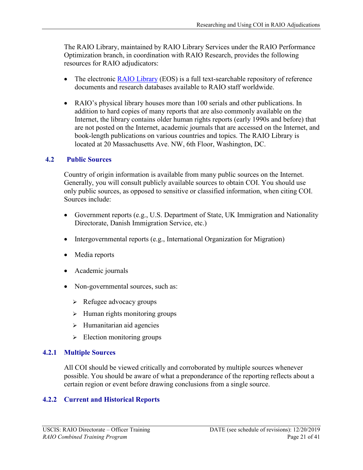The RAIO Library, maintained by RAIO Library Services under the RAIO Performance Optimization branch, in coordination with RAIO Research, provides the following resources for RAIO adjudicators:

- The electronic [RAIO Library](https://u95026.eos-intl.net/U95026/OPAC/Index.aspx) (EOS) is a full text-searchable repository of reference documents and research databases available to RAIO staff worldwide.
- RAIO's physical library houses more than 100 serials and other publications. In addition to hard copies of many reports that are also commonly available on the Internet, the library contains older human rights reports (early 1990s and before) that are not posted on the Internet, academic journals that are accessed on the Internet, and book-length publications on various countries and topics. The RAIO Library is located at 20 Massachusetts Ave. NW, 6th Floor, Washington, DC.

## <span id="page-20-0"></span>**4.2 Public Sources**

Country of origin information is available from many public sources on the Internet. Generally, you will consult publicly available sources to obtain COI. You should use only public sources, as opposed to sensitive or classified information, when citing COI. Sources include:

- Government reports (e.g., U.S. Department of State, UK Immigration and Nationality Directorate, Danish Immigration Service, etc.)
- Intergovernmental reports (e.g., International Organization for Migration)
- Media reports
- Academic journals
- Non-governmental sources, such as:
	- > Refugee advocacy groups
	- $\triangleright$  Human rights monitoring groups
	- $\triangleright$  Humanitarian aid agencies
	- $\triangleright$  Election monitoring groups

## <span id="page-20-1"></span>**4.2.1 Multiple Sources**

All COI should be viewed critically and corroborated by multiple sources whenever possible. You should be aware of what a preponderance of the reporting reflects about a certain region or event before drawing conclusions from a single source.

## <span id="page-20-2"></span>**4.2.2 Current and Historical Reports**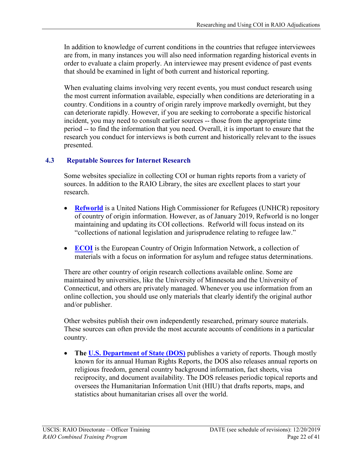In addition to knowledge of current conditions in the countries that refugee interviewees are from, in many instances you will also need information regarding historical events in order to evaluate a claim properly. An interviewee may present evidence of past events that should be examined in light of both current and historical reporting.

When evaluating claims involving very recent events, you must conduct research using the most current information available, especially when conditions are deteriorating in a country. Conditions in a country of origin rarely improve markedly overnight, but they can deteriorate rapidly. However, if you are seeking to corroborate a specific historical incident, you may need to consult earlier sources -- those from the appropriate time period -- to find the information that you need. Overall, it is important to ensure that the research you conduct for interviews is both current and historically relevant to the issues presented.

## <span id="page-21-0"></span>**4.3 Reputable Sources for Internet Research**

Some websites specialize in collecting COI or human rights reports from a variety of sources. In addition to the RAIO Library, the sites are excellent places to start your research.

- **[Refworld](http://www.refworld.org/)** is a United Nations High Commissioner for Refugees (UNHCR) repository of country of origin information. However, as of January 2019, Refworld is no longer maintaining and updating its COI collections. Refworld will focus instead on its "collections of national legislation and jurisprudence relating to refugee law."
- **[ECOI](https://www.ecoi.net/)** is the European Country of Origin Information Network, a collection of materials with a focus on information for asylum and refugee status determinations.

There are other country of origin research collections available online. Some are maintained by universities, like the University of Minnesota and the University of Connecticut, and others are privately managed. Whenever you use information from an online collection, you should use only materials that clearly identify the original author and/or publisher.

Other websites publish their own independently researched, primary source materials. These sources can often provide the most accurate accounts of conditions in a particular country.

• **The [U.S. Department of State \(DOS\)](https://www.state.gov/)** publishes a variety of reports. Though mostly known for its annual Human Rights Reports, the DOS also releases annual reports on religious freedom, general country background information, fact sheets, visa reciprocity, and document availability. The DOS releases periodic topical reports and oversees the Humanitarian Information Unit (HIU) that drafts reports, maps, and statistics about humanitarian crises all over the world.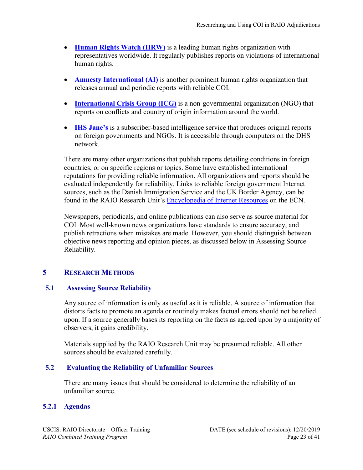- **[Human Rights Watch \(HRW\)](https://www.hrw.org/)** is a leading human rights organization with representatives worldwide. It regularly publishes reports on violations of international human rights.
- **[Amnesty International \(AI\)](https://www.amnesty.org/)** is another prominent human rights organization that releases annual and periodic reports with reliable COI.
- **[International Crisis Group \(ICG\)](https://www.crisisgroup.org/)** is a non-governmental organization (NGO) that reports on conflicts and country of origin information around the world.
- **[IHS Jane's](https://janes.ihs.com/janes/home)** is a subscriber-based intelligence service that produces original reports on foreign governments and NGOs. It is accessible through computers on the DHS network.

There are many other organizations that publish reports detailing conditions in foreign countries, or on specific regions or topics. Some have established international reputations for providing reliable information. All organizations and reports should be evaluated independently for reliability. Links to reliable foreign government Internet sources, such as the Danish Immigration Service and the UK Border Agency, can be found in the RAIO Research Unit's [Encyclopedia of Internet Resources](https://ecn.uscis.dhs.gov/team/raio/Research/SiteAssets/SitePages/ResearchHome/Encyclopedia%20of%20Internet%20Resources.pdf) on the ECN.

Newspapers, periodicals, and online publications can also serve as source material for COI. Most well-known news organizations have standards to ensure accuracy, and publish retractions when mistakes are made. However, you should distinguish between objective news reporting and opinion pieces, as discussed below in Assessing Source Reliability.

## <span id="page-22-0"></span>**5 RESEARCH METHODS**

#### <span id="page-22-1"></span>**5.1 Assessing Source Reliability**

Any source of information is only as useful as it is reliable. A source of information that distorts facts to promote an agenda or routinely makes factual errors should not be relied upon. If a source generally bases its reporting on the facts as agreed upon by a majority of observers, it gains credibility.

Materials supplied by the RAIO Research Unit may be presumed reliable. All other sources should be evaluated carefully.

## <span id="page-22-2"></span>**5.2 Evaluating the Reliability of Unfamiliar Sources**

There are many issues that should be considered to determine the reliability of an unfamiliar source.

## <span id="page-22-3"></span>**5.2.1 Agendas**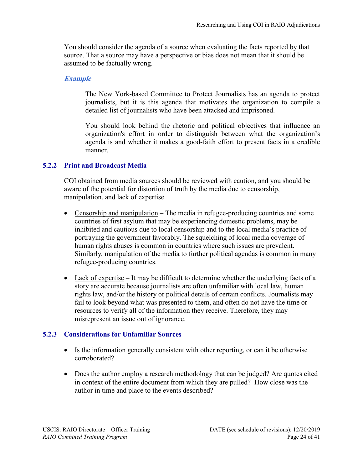You should consider the agenda of a source when evaluating the facts reported by that source. That a source may have a perspective or bias does not mean that it should be assumed to be factually wrong.

#### **Example**

The New York-based Committee to Protect Journalists has an agenda to protect journalists, but it is this agenda that motivates the organization to compile a detailed list of journalists who have been attacked and imprisoned.

You should look behind the rhetoric and political objectives that influence an organization's effort in order to distinguish between what the organization's agenda is and whether it makes a good-faith effort to present facts in a credible manner.

#### <span id="page-23-0"></span>**5.2.2 Print and Broadcast Media**

COI obtained from media sources should be reviewed with caution, and you should be aware of the potential for distortion of truth by the media due to censorship, manipulation, and lack of expertise.

- Censorship and manipulation The media in refugee-producing countries and some countries of first asylum that may be experiencing domestic problems, may be inhibited and cautious due to local censorship and to the local media's practice of portraying the government favorably. The squelching of local media coverage of human rights abuses is common in countries where such issues are prevalent. Similarly, manipulation of the media to further political agendas is common in many refugee-producing countries.
- Lack of expertise It may be difficult to determine whether the underlying facts of a story are accurate because journalists are often unfamiliar with local law, human rights law, and/or the history or political details of certain conflicts. Journalists may fail to look beyond what was presented to them, and often do not have the time or resources to verify all of the information they receive. Therefore, they may misrepresent an issue out of ignorance.

## <span id="page-23-1"></span>**5.2.3 Considerations for Unfamiliar Sources**

- Is the information generally consistent with other reporting, or can it be otherwise corroborated?
- Does the author employ a research methodology that can be judged? Are quotes cited in context of the entire document from which they are pulled? How close was the author in time and place to the events described?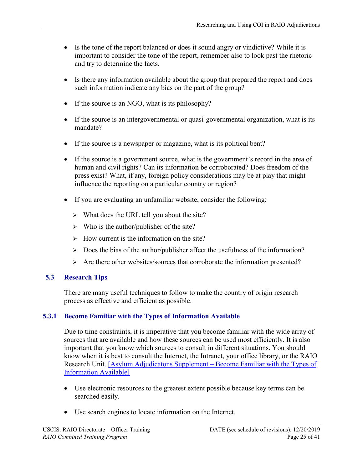- Is the tone of the report balanced or does it sound angry or vindictive? While it is important to consider the tone of the report, remember also to look past the rhetoric and try to determine the facts.
- Is there any information available about the group that prepared the report and does such information indicate any bias on the part of the group?
- If the source is an NGO, what is its philosophy?
- If the source is an intergovernmental or quasi-governmental organization, what is its mandate?
- If the source is a newspaper or magazine, what is its political bent?
- If the source is a government source, what is the government's record in the area of human and civil rights? Can its information be corroborated? Does freedom of the press exist? What, if any, foreign policy considerations may be at play that might influence the reporting on a particular country or region?
- If you are evaluating an unfamiliar website, consider the following:
	- $\triangleright$  What does the URL tell you about the site?
	- $\triangleright$  Who is the author/publisher of the site?
	- $\triangleright$  How current is the information on the site?
	- $\triangleright$  Does the bias of the author/publisher affect the usefulness of the information?
	- Are there other websites/sources that corroborate the information presented?

## <span id="page-24-0"></span>**5.3 Research Tips**

There are many useful techniques to follow to make the country of origin research process as effective and efficient as possible.

## <span id="page-24-1"></span>**5.3.1 Become Familiar with the Types of Information Available**

Due to time constraints, it is imperative that you become familiar with the wide array of sources that are available and how these sources can be used most efficiently. It is also important that you know which sources to consult in different situations. You should know when it is best to consult the Internet, the Intranet, your office library, or the RAIO Research Unit. [Asylum Adjudicatons Supplement – Become Familiar with the Types of [Information Available\]](#page-40-1)

- Use electronic resources to the greatest extent possible because key terms can be searched easily.
- Use search engines to locate information on the Internet.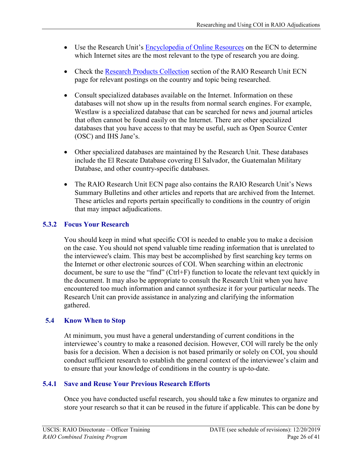- Use the Research Unit's **Encyclopedia of Online Resources** on the ECN to determine which Internet sites are the most relevant to the type of research you are doing.
- Check the [Research Products Collection](https://ecn.uscis.dhs.gov/team/raio/Research/ResearchUnitDocuments/Forms/AllItems.aspx) section of the RAIO Research Unit ECN page for relevant postings on the country and topic being researched.
- Consult specialized databases available on the Internet. Information on these databases will not show up in the results from normal search engines. For example, Westlaw is a specialized database that can be searched for news and journal articles that often cannot be found easily on the Internet. There are other specialized databases that you have access to that may be useful, such as Open Source Center (OSC) and IHS Jane's.
- Other specialized databases are maintained by the Research Unit. These databases include the El Rescate Database covering El Salvador, the Guatemalan Military Database, and other country-specific databases.
- The RAIO Research Unit ECN page also contains the RAIO Research Unit's News Summary Bulletins and other articles and reports that are archived from the Internet. These articles and reports pertain specifically to conditions in the country of origin that may impact adjudications.

## <span id="page-25-0"></span>**5.3.2 Focus Your Research**

You should keep in mind what specific COI is needed to enable you to make a decision on the case. You should not spend valuable time reading information that is unrelated to the interviewee's claim. This may best be accomplished by first searching key terms on the Internet or other electronic sources of COI. When searching within an electronic document, be sure to use the "find" (Ctrl+F) function to locate the relevant text quickly in the document. It may also be appropriate to consult the Research Unit when you have encountered too much information and cannot synthesize it for your particular needs. The Research Unit can provide assistance in analyzing and clarifying the information gathered.

## <span id="page-25-1"></span>**5.4 Know When to Stop**

At minimum, you must have a general understanding of current conditions in the interviewee's country to make a reasoned decision. However, COI will rarely be the only basis for a decision. When a decision is not based primarily or solely on COI, you should conduct sufficient research to establish the general context of the interviewee's claim and to ensure that your knowledge of conditions in the country is up-to-date.

## <span id="page-25-2"></span>**5.4.1 Save and Reuse Your Previous Research Efforts**

Once you have conducted useful research, you should take a few minutes to organize and store your research so that it can be reused in the future if applicable. This can be done by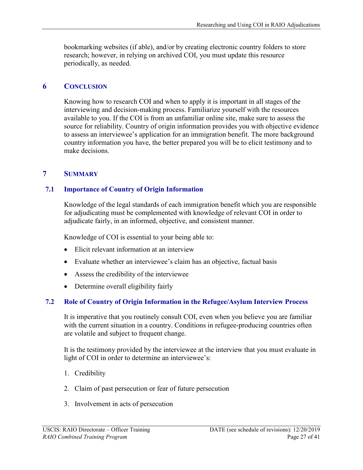bookmarking websites (if able), and/or by creating electronic country folders to store research; however, in relying on archived COI, you must update this resource periodically, as needed.

#### <span id="page-26-0"></span>**6 CONCLUSION**

Knowing how to research COI and when to apply it is important in all stages of the interviewing and decision-making process. Familiarize yourself with the resources available to you. If the COI is from an unfamiliar online site, make sure to assess the source for reliability. Country of origin information provides you with objective evidence to assess an interviewee's application for an immigration benefit. The more background country information you have, the better prepared you will be to elicit testimony and to make decisions.

## <span id="page-26-1"></span>**7 SUMMARY**

## <span id="page-26-2"></span>**7.1 Importance of Country of Origin Information**

Knowledge of the legal standards of each immigration benefit which you are responsible for adjudicating must be complemented with knowledge of relevant COI in order to adjudicate fairly, in an informed, objective, and consistent manner.

Knowledge of COI is essential to your being able to:

- Elicit relevant information at an interview
- Evaluate whether an interviewee's claim has an objective, factual basis
- Assess the credibility of the interviewee
- Determine overall eligibility fairly

## <span id="page-26-3"></span>**7.2 Role of Country of Origin Information in the Refugee/Asylum Interview Process**

It is imperative that you routinely consult COI, even when you believe you are familiar with the current situation in a country. Conditions in refugee-producing countries often are volatile and subject to frequent change.

It is the testimony provided by the interviewee at the interview that you must evaluate in light of COI in order to determine an interviewee's:

- 1. Credibility
- 2. Claim of past persecution or fear of future persecution
- 3. Involvement in acts of persecution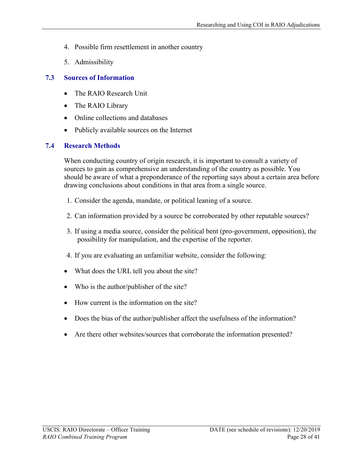- 4. Possible firm resettlement in another country
- 5. Admissibility

#### <span id="page-27-0"></span>**7.3 Sources of Information**

- The RAIO Research Unit
- The RAIO Library
- Online collections and databases
- Publicly available sources on the Internet

## <span id="page-27-1"></span>**7.4 Research Methods**

When conducting country of origin research, it is important to consult a variety of sources to gain as comprehensive an understanding of the country as possible. You should be aware of what a preponderance of the reporting says about a certain area before drawing conclusions about conditions in that area from a single source.

- 1. Consider the agenda, mandate, or political leaning of a source.
- 2. Can information provided by a source be corroborated by other reputable sources?
- 3. If using a media source, consider the political bent (pro-government, opposition), the possibility for manipulation, and the expertise of the reporter.
- 4. If you are evaluating an unfamiliar website, consider the following: •
- What does the URL tell you about the site?
- Who is the author/publisher of the site?
- How current is the information on the site?
- Does the bias of the author/publisher affect the usefulness of the information?
- Are there other websites/sources that corroborate the information presented?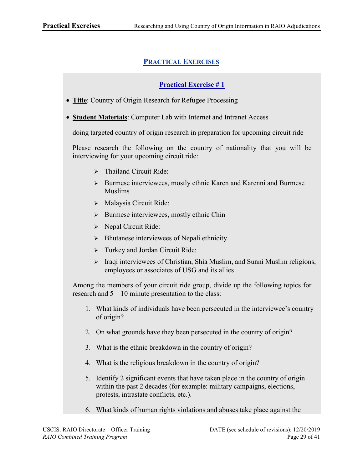#### **PRACTICAL EXERCISES**

#### <span id="page-28-0"></span>**Practical Exercise # 1**

- **Title**: Country of Origin Research for Refugee Processing
- **Student Materials**: Computer Lab with Internet and Intranet Access

doing targeted country of origin research in preparation for upcoming circuit ride

Please research the following on the country of nationality that you will be interviewing for your upcoming circuit ride:

- $\triangleright$  Thailand Circuit Ride:
- Burmese interviewees, mostly ethnic Karen and Karenni and Burmese Muslims
- > Malaysia Circuit Ride:
- $\triangleright$  Burmese interviewees, mostly ethnic Chin
- $\triangleright$  Nepal Circuit Ride:
- $\triangleright$  Bhutanese interviewees of Nepali ethnicity
- > Turkey and Jordan Circuit Ride:
- $\triangleright$  Iraqi interviewees of Christian, Shia Muslim, and Sunni Muslim religions, employees or associates of USG and its allies

Among the members of your circuit ride group, divide up the following topics for research and  $5 - 10$  minute presentation to the class:

- 1. What kinds of individuals have been persecuted in the interviewee's country of origin?
- 2. On what grounds have they been persecuted in the country of origin?
- 3. What is the ethnic breakdown in the country of origin?
- 4. What is the religious breakdown in the country of origin?
- 5. Identify 2 significant events that have taken place in the country of origin within the past 2 decades (for example: military campaigns, elections, protests, intrastate conflicts, etc.).
- 6. What kinds of human rights violations and abuses take place against the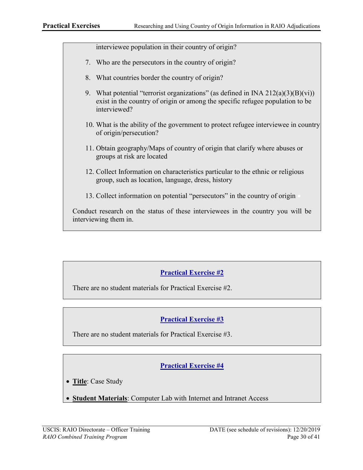interviewee population in their country of origin?

- 7. Who are the persecutors in the country of origin?
- 8. What countries border the country of origin?
- 9. What potential "terrorist organizations" (as defined in INA  $212(a)(3)(B)(vi)$ ) exist in the country of origin or among the specific refugee population to be interviewed?
- 10. What is the ability of the government to protect refugee interviewee in country of origin/persecution?
- 11. Obtain geography/Maps of country of origin that clarify where abuses or groups at risk are located
- 12. Collect Information on characteristics particular to the ethnic or religious group, such as location, language, dress, history
- 13. Collect information on potential "persecutors" in the country of origin •

Conduct research on the status of these interviewees in the country you will be interviewing them in.

## **Practical Exercise #2**

There are no student materials for Practical Exercise #2.

#### **Practical Exercise #3**

There are no student materials for Practical Exercise #3.

## **Practical Exercise #4**

- **Title**: Case Study
- **Student Materials**: Computer Lab with Internet and Intranet Access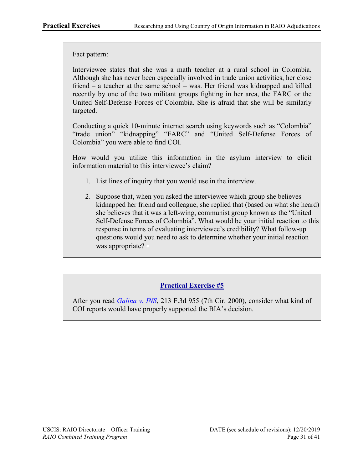Fact pattern:

Interviewee states that she was a math teacher at a rural school in Colombia. Although she has never been especially involved in trade union activities, her close friend – a teacher at the same school – was. Her friend was kidnapped and killed recently by one of the two militant groups fighting in her area, the FARC or the United Self-Defense Forces of Colombia. She is afraid that she will be similarly targeted.

Conducting a quick 10-minute internet search using keywords such as "Colombia" "trade union" "kidnapping" "FARC" and "United Self-Defense Forces of Colombia" you were able to find COI.

How would you utilize this information in the asylum interview to elicit information material to this interviewee's claim?

- 1. List lines of inquiry that you would use in the interview.
- 2. Suppose that, when you asked the interviewee which group she believes kidnapped her friend and colleague, she replied that (based on what she heard) she believes that it was a left-wing, communist group known as the "United Self-Defense Forces of Colombia". What would be your initial reaction to this response in terms of evaluating interviewee's credibility? What follow-up questions would you need to ask to determine whether your initial reaction was appropriate?

## **Practical Exercise #5**

After you read *[Galina v. INS](https://a.next.westlaw.com/Document/I06285210798411d98c82a53fc8ac8757/View/FullText.html?transitionType=UniqueDocItem&contextData=(sc.Default)&userEnteredCitation=213+F.3d+955)*, 213 F.3d 955 (7th Cir. 2000), consider what kind of COI reports would have properly supported the BIA's decision.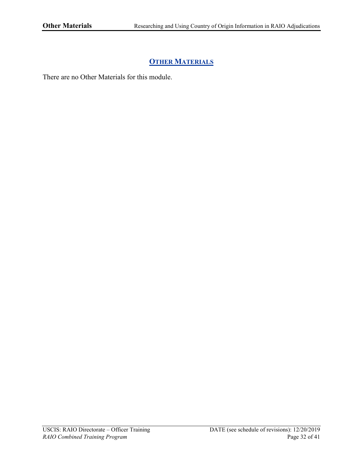#### <span id="page-31-0"></span>**OTHER MATERIALS**

There are no Other Materials for this module.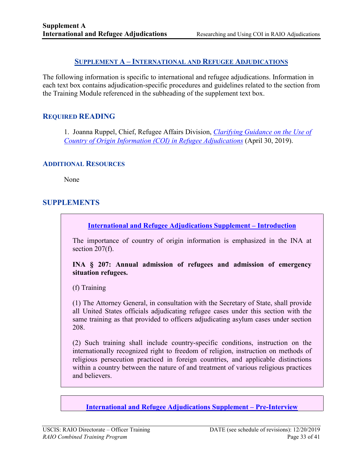#### <span id="page-32-1"></span>**SUPPLEMENT A – INTERNATIONAL AND REFUGEE ADJUDICATIONS**

<span id="page-32-2"></span><span id="page-32-0"></span>The following information is specific to international and refugee adjudications. Information in each text box contains adjudication-specific procedures and guidelines related to the section from the Training Module referenced in the subheading of the supplement text box.

#### **REQUIRED READING**

1. Joanna Ruppel, Chief, Refugee Affairs Division, *[Clarifying Guidance on the Use of](https://ecn.uscis.dhs.gov/team/raio/PerMgt/Training/Lesson%20Plans/Use%20of%20Country%20Of%20Origin%20Information%20in%20Refugee%20Adjudications%204-30-2019.pdf)  [Country of Origin Information \(COI\) in Refugee Adjudications](https://ecn.uscis.dhs.gov/team/raio/PerMgt/Training/Lesson%20Plans/Use%20of%20Country%20Of%20Origin%20Information%20in%20Refugee%20Adjudications%204-30-2019.pdf)* (April 30, 2019). •

#### **ADDITIONAL RESOURCES**

<span id="page-32-3"></span>None•

#### <span id="page-32-4"></span>**SUPPLEMENTS**

**[International and Refugee Adjudications](#page-8-0) Supplement – Introduction**

The importance of country of origin information is emphasized in the INA at section 207(f).

**INA § 207: Annual admission of refugees and admission of emergency situation refugees.**

(f) Training

(1) The Attorney General, in consultation with the Secretary of State, shall provide all United States officials adjudicating refugee cases under this section with the same training as that provided to officers adjudicating asylum cases under section 208.

(2) Such training shall include country-specific conditions, instruction on the internationally recognized right to freedom of religion, instruction on methods of religious persecution practiced in foreign countries, and applicable distinctions within a country between the nature of and treatment of various religious practices and believers.

<span id="page-32-5"></span>**International and Refugee Adjudications Supplement – [Pre-Interview](#page-10-2)**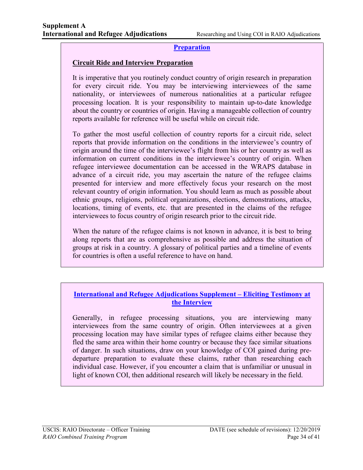#### **[Preparation](#page-10-2)**

#### **Circuit Ride and Interview Preparation**

It is imperative that you routinely conduct country of origin research in preparation for every circuit ride. You may be interviewing interviewees of the same nationality, or interviewees of numerous nationalities at a particular refugee processing location. It is your responsibility to maintain up-to-date knowledge about the country or countries of origin. Having a manageable collection of country reports available for reference will be useful while on circuit ride.

To gather the most useful collection of country reports for a circuit ride, select reports that provide information on the conditions in the interviewee's country of origin around the time of the interviewee's flight from his or her country as well as information on current conditions in the interviewee's country of origin. When refugee interviewee documentation can be accessed in the WRAPS database in advance of a circuit ride, you may ascertain the nature of the refugee claims presented for interview and more effectively focus your research on the most relevant country of origin information. You should learn as much as possible about ethnic groups, religions, political organizations, elections, demonstrations, attacks, locations, timing of events, etc. that are presented in the claims of the refugee interviewees to focus country of origin research prior to the circuit ride.

When the nature of the refugee claims is not known in advance, it is best to bring along reports that are as comprehensive as possible and address the situation of groups at risk in a country. A glossary of political parties and a timeline of events for countries is often a useful reference to have on hand.

#### <span id="page-33-0"></span>**[International and Refugee Adjudications](#page-10-3) Supplement – Eliciting Testimony at [the Interview](#page-10-3)**

Generally, in refugee processing situations, you are interviewing many interviewees from the same country of origin. Often interviewees at a given processing location may have similar types of refugee claims either because they fled the same area within their home country or because they face similar situations of danger. In such situations, draw on your knowledge of COI gained during predeparture preparation to evaluate these claims, rather than researching each individual case. However, if you encounter a claim that is unfamiliar or unusual in light of known COI, then additional research will likely be necessary in the field.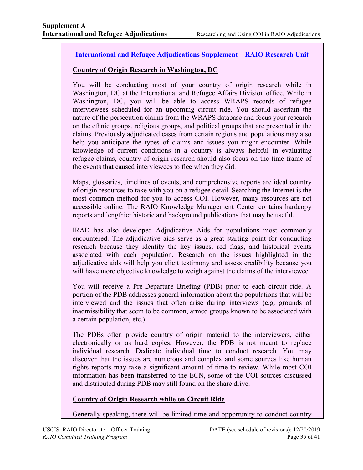#### <span id="page-34-0"></span>**[International and Refugee Adjudications](#page-18-2) Supplement – RAIO Research Unit**

#### **Country of Origin Research in Washington, DC**

You will be conducting most of your country of origin research while in Washington, DC at the International and Refugee Affairs Division office. While in Washington, DC, you will be able to access WRAPS records of refugee interviewees scheduled for an upcoming circuit ride. You should ascertain the nature of the persecution claims from the WRAPS database and focus your research on the ethnic groups, religious groups, and political groups that are presented in the claims. Previously adjudicated cases from certain regions and populations may also help you anticipate the types of claims and issues you might encounter. While knowledge of current conditions in a country is always helpful in evaluating refugee claims, country of origin research should also focus on the time frame of the events that caused interviewees to flee when they did.

Maps, glossaries, timelines of events, and comprehensive reports are ideal country of origin resources to take with you on a refugee detail. Searching the Internet is the most common method for you to access COI. However, many resources are not accessible online. The RAIO Knowledge Management Center contains hardcopy reports and lengthier historic and background publications that may be useful.

IRAD has also developed Adjudicative Aids for populations most commonly encountered. The adjudicative aids serve as a great starting point for conducting research because they identify the key issues, red flags, and historical events associated with each population. Research on the issues highlighted in the adjudicative aids will help you elicit testimony and assess credibility because you will have more objective knowledge to weigh against the claims of the interviewee.

You will receive a Pre-Departure Briefing (PDB) prior to each circuit ride. A portion of the PDB addresses general information about the populations that will be interviewed and the issues that often arise during interviews (e.g. grounds of inadmissibility that seem to be common, armed groups known to be associated with a certain population, etc.).

The PDBs often provide country of origin material to the interviewers, either electronically or as hard copies. However, the PDB is not meant to replace individual research. Dedicate individual time to conduct research. You may discover that the issues are numerous and complex and some sources like human rights reports may take a significant amount of time to review. While most COI information has been transferred to the ECN, some of the COI sources discussed and distributed during PDB may still found on the share drive.

#### **Country of Origin Research while on Circuit Ride**

Generally speaking, there will be limited time and opportunity to conduct country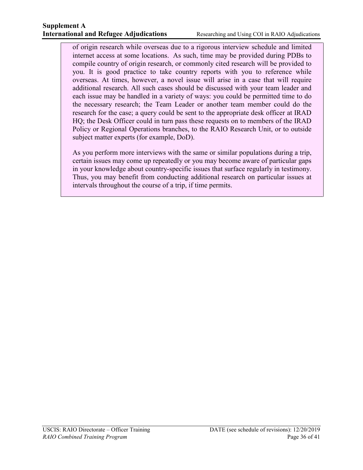of origin research while overseas due to a rigorous interview schedule and limited internet access at some locations. As such, time may be provided during PDBs to compile country of origin research, or commonly cited research will be provided to you. It is good practice to take country reports with you to reference while overseas. At times, however, a novel issue will arise in a case that will require additional research. All such cases should be discussed with your team leader and each issue may be handled in a variety of ways: you could be permitted time to do the necessary research; the Team Leader or another team member could do the research for the case; a query could be sent to the appropriate desk officer at IRAD HQ; the Desk Officer could in turn pass these requests on to members of the IRAD Policy or Regional Operations branches, to the RAIO Research Unit, or to outside subject matter experts (for example, DoD).

As you perform more interviews with the same or similar populations during a trip, certain issues may come up repeatedly or you may become aware of particular gaps in your knowledge about country-specific issues that surface regularly in testimony. Thus, you may benefit from conducting additional research on particular issues at intervals throughout the course of a trip, if time permits.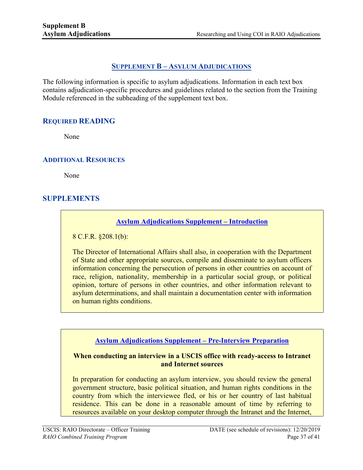#### <span id="page-36-1"></span>**SUPPLEMENT B – ASYLUM ADJUDICATIONS**

<span id="page-36-2"></span><span id="page-36-0"></span>The following information is specific to asylum adjudications. Information in each text box contains adjudication-specific procedures and guidelines related to the section from the Training Module referenced in the subheading of the supplement text box.

#### **REQUIRED READING**

None

#### **ADDITIONAL RESOURCES**

<span id="page-36-3"></span>None

## **SUPPLEMENTS**

#### <span id="page-36-4"></span>**[Asylum Adjudications](#page-8-0) Supplement – Introduction**

8 C.F.R. §208.1(b):

The Director of International Affairs shall also, in cooperation with the Department of State and other appropriate sources, compile and disseminate to asylum officers information concerning the persecution of persons in other countries on account of race, religion, nationality, membership in a particular social group, or political opinion, torture of persons in other countries, and other information relevant to asylum determinations, and shall maintain a documentation center with information on human rights conditions.

#### <span id="page-36-5"></span>**Asylum Adjudications Supplement – [Pre-Interview Preparation](#page-10-2)**

#### **When conducting an interview in a USCIS office with ready-access to Intranet and Internet sources**

In preparation for conducting an asylum interview, you should review the general government structure, basic political situation, and human rights conditions in the country from which the interviewee fled, or his or her country of last habitual residence. This can be done in a reasonable amount of time by referring to resources available on your desktop computer through the Intranet and the Internet,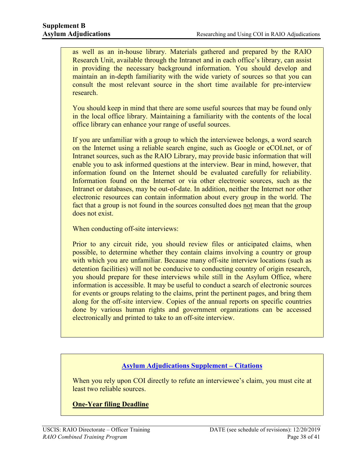as well as an in-house library. Materials gathered and prepared by the RAIO Research Unit, available through the Intranet and in each office's library, can assist in providing the necessary background information. You should develop and maintain an in-depth familiarity with the wide variety of sources so that you can consult the most relevant source in the short time available for pre-interview research.

You should keep in mind that there are some useful sources that may be found only in the local office library. Maintaining a familiarity with the contents of the local office library can enhance your range of useful sources.

If you are unfamiliar with a group to which the interviewee belongs, a word search on the Internet using a reliable search engine, such as Google or eCOI.net, or of Intranet sources, such as the RAIO Library, may provide basic information that will enable you to ask informed questions at the interview. Bear in mind, however, that information found on the Internet should be evaluated carefully for reliability. Information found on the Internet or via other electronic sources, such as the Intranet or databases, may be out-of-date. In addition, neither the Internet nor other electronic resources can contain information about every group in the world. The fact that a group is not found in the sources consulted does not mean that the group does not exist.

When conducting off-site interviews:

Prior to any circuit ride, you should review files or anticipated claims, when possible, to determine whether they contain claims involving a country or group with which you are unfamiliar. Because many off-site interview locations (such as detention facilities) will not be conducive to conducting country of origin research, you should prepare for these interviews while still in the Asylum Office, where information is accessible. It may be useful to conduct a search of electronic sources for events or groups relating to the claims, print the pertinent pages, and bring them along for the off-site interview. Copies of the annual reports on specific countries done by various human rights and government organizations can be accessed electronically and printed to take to an off-site interview.

#### <span id="page-37-0"></span>**[Asylum Adjudications](#page-18-0) Supplement – Citations**

When you rely upon COI directly to refute an interviewee's claim, you must cite at least two reliable sources.

#### **One-Year filing Deadline**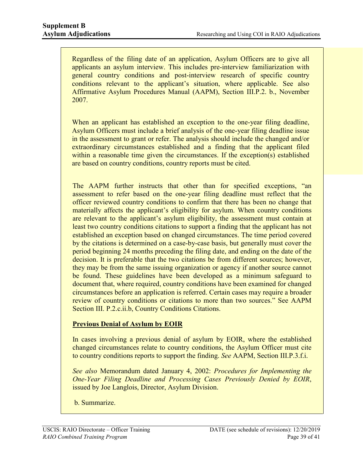Regardless of the filing date of an application, Asylum Officers are to give all applicants an asylum interview. This includes pre-interview familiarization with general country conditions and post-interview research of specific country conditions relevant to the applicant's situation, where applicable. See also Affirmative Asylum Procedures Manual (AAPM), Section III.P.2. b., November 2007.

When an applicant has established an exception to the one-year filing deadline, Asylum Officers must include a brief analysis of the one-year filing deadline issue in the assessment to grant or refer. The analysis should include the changed and/or extraordinary circumstances established and a finding that the applicant filed within a reasonable time given the circumstances. If the exception(s) established are based on country conditions, country reports must be cited.

The AAPM further instructs that other than for specified exceptions, "an assessment to refer based on the one-year filing deadline must reflect that the officer reviewed country conditions to confirm that there has been no change that materially affects the applicant's eligibility for asylum. When country conditions are relevant to the applicant's asylum eligibility, the assessment must contain at least two country conditions citations to support a finding that the applicant has not established an exception based on changed circumstances. The time period covered by the citations is determined on a case-by-case basis, but generally must cover the period beginning 24 months preceding the filing date, and ending on the date of the decision. It is preferable that the two citations be from different sources; however, they may be from the same issuing organization or agency if another source cannot be found. These guidelines have been developed as a minimum safeguard to document that, where required, country conditions have been examined for changed circumstances before an application is referred. Certain cases may require a broader review of country conditions or citations to more than two sources." See AAPM Section III. P.2.c.ii.b, Country Conditions Citations.

#### **Previous Denial of Asylum by EOIR**

In cases involving a previous denial of asylum by EOIR, where the established changed circumstances relate to country conditions, the Asylum Officer must cite to country conditions reports to support the finding. *See* AAPM, Section III.P.3.f.i.

*See also* Memorandum dated January 4, 2002: *Procedures for Implementing the One-Year Filing Deadline and Processing Cases Previously Denied by EOIR*, issued by Joe Langlois, Director, Asylum Division.

b. Summarize.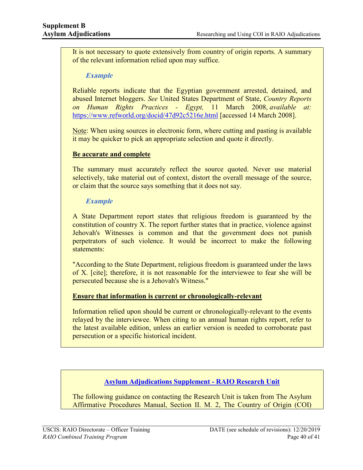It is not necessary to quote extensively from country of origin reports. A summary of the relevant information relied upon may suffice.

#### **Example**

Reliable reports indicate that the Egyptian government arrested, detained, and abused Internet bloggers. *See* United States Department of State, *Country Reports on Human Rights Practices - Egypt,* 11 March 2008, *available at:*  <https://www.refworld.org/docid/47d92c5216e.html> [accessed 14 March 2008].

Note: When using sources in electronic form, where cutting and pasting is available it may be quicker to pick an appropriate selection and quote it directly.

#### **Be accurate and complete**

The summary must accurately reflect the source quoted. Never use material selectively, take material out of context, distort the overall message of the source, or claim that the source says something that it does not say.

#### **Example**

A State Department report states that religious freedom is guaranteed by the constitution of country X. The report further states that in practice, violence against Jehovah's Witnesses is common and that the government does not punish perpetrators of such violence. It would be incorrect to make the following statements:

"According to the State Department, religious freedom is guaranteed under the laws of X. [cite]; therefore, it is not reasonable for the interviewee to fear she will be persecuted because she is a Jehovah's Witness."

#### **Ensure that information is current or chronologically-relevant**

Information relied upon should be current or chronologically-relevant to the events relayed by the interviewee. When citing to an annual human rights report, refer to the latest available edition, unless an earlier version is needed to corroborate past persecution or a specific historical incident.

#### **[Asylum Adjudications](#page-18-2) Supplement - RAIO Research Unit**

The following guidance on contacting the Research Unit is taken from The Asylum Affirmative Procedures Manual, Section II. M. 2, The Country of Origin (COI)